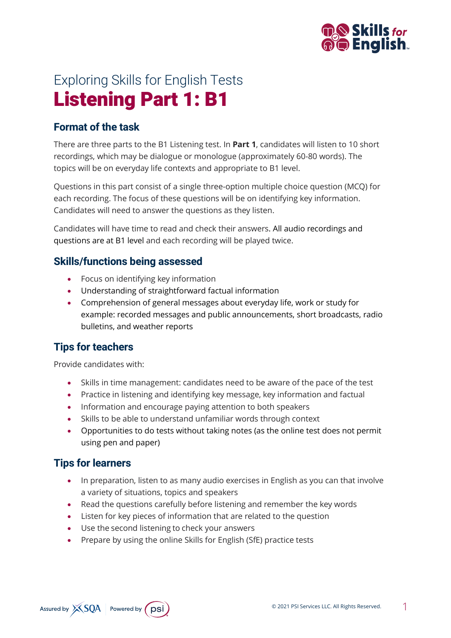

# Exploring Skills for English Tests Listening Part 1: B1

## **Format of the task**

There are three parts to the B1 Listening test. In **Part 1**, candidates will listen to 10 short recordings, which may be dialogue or monologue (approximately 60-80 words). The topics will be on everyday life contexts and appropriate to B1 level.

Questions in this part consist of a single three-option multiple choice question (MCQ) for each recording. The focus of these questions will be on identifying key information. Candidates will need to answer the questions as they listen.

Candidates will have time to read and check their answers. All audio recordings and questions are at B1 level and each recording will be played twice.

### **Skills/functions being assessed**

- Focus on identifying key information
- Understanding of straightforward factual information
- Comprehension of general messages about everyday life, work or study for example: recorded messages and public announcements, short broadcasts, radio bulletins, and weather reports

# **Tips for teachers**

Provide candidates with:

- Skills in time management: candidates need to be aware of the pace of the test
- Practice in listening and identifying key message, key information and factual
- Information and encourage paying attention to both speakers
- Skills to be able to understand unfamiliar words through context
- Opportunities to do tests without taking notes (as the online test does not permit using pen and paper)

## **Tips for learners**

- In preparation, listen to as many audio exercises in English as you can that involve a variety of situations, topics and speakers
- Read the questions carefully before listening and remember the key words
- Listen for key pieces of information that are related to the question
- Use the second listening to check your answers
- Prepare by using the online Skills for English (SfE) practice tests